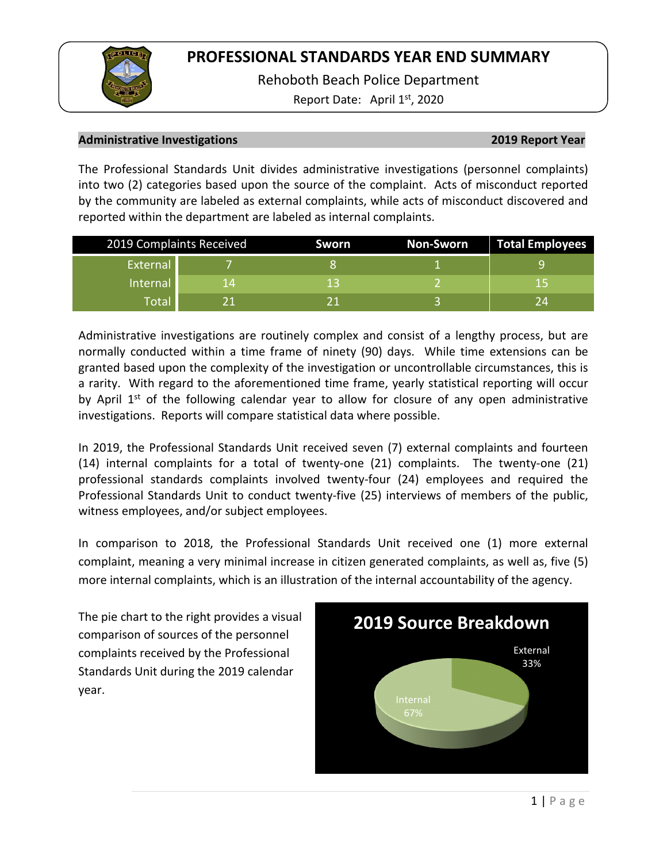Rehoboth Beach Police Department

Report Date: April  $1<sup>st</sup>$ , 2020

## **Administrative Investigations 2019 Report Year**

The Professional Standards Unit divides administrative investigations (personnel complaints) into two (2) categories based upon the source of the complaint. Acts of misconduct reported by the community are labeled as external complaints, while acts of misconduct discovered and reported within the department are labeled as internal complaints.

| 2019 Complaints Received |    | Sworn | <b>Non-Sworn</b> | Total Employees |
|--------------------------|----|-------|------------------|-----------------|
| External                 |    |       |                  |                 |
| <b>Internal</b>          | 14 |       |                  | 15              |
| Total                    |    |       |                  | 2Δ              |

Administrative investigations are routinely complex and consist of a lengthy process, but are normally conducted within a time frame of ninety (90) days. While time extensions can be granted based upon the complexity of the investigation or uncontrollable circumstances, this is a rarity. With regard to the aforementioned time frame, yearly statistical reporting will occur by April  $1<sup>st</sup>$  of the following calendar year to allow for closure of any open administrative investigations. Reports will compare statistical data where possible.

In 2019, the Professional Standards Unit received seven (7) external complaints and fourteen (14) internal complaints for a total of twenty-one (21) complaints. The twenty-one (21) professional standards complaints involved twenty-four (24) employees and required the Professional Standards Unit to conduct twenty-five (25) interviews of members of the public, witness employees, and/or subject employees.

In comparison to 2018, the Professional Standards Unit received one (1) more external complaint, meaning a very minimal increase in citizen generated complaints, as well as, five (5) more internal complaints, which is an illustration of the internal accountability of the agency.

The pie chart to the right provides a visual comparison of sources of the personnel complaints received by the Professional Standards Unit during the 2019 calendar year.

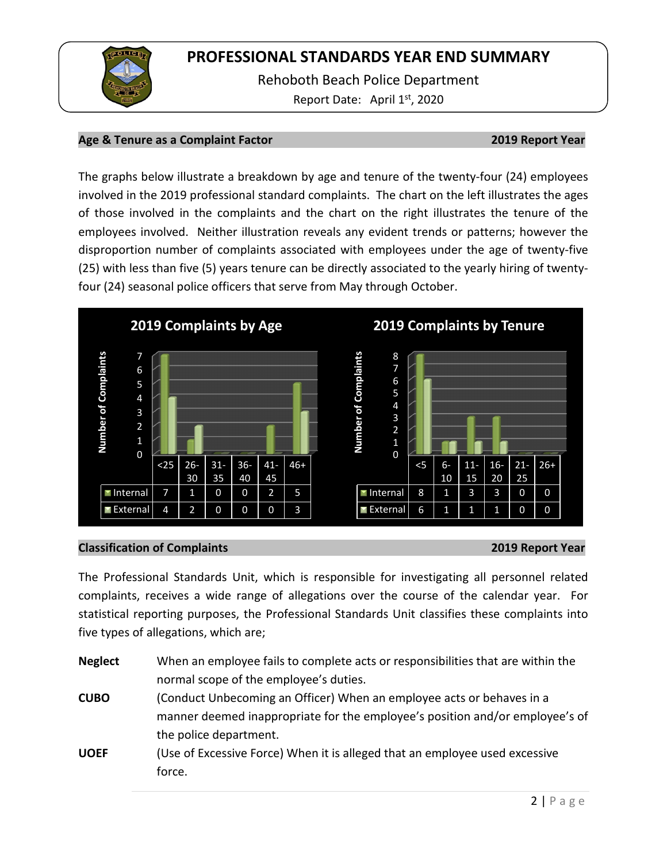

Rehoboth Beach Police Department Report Date: April 1<sup>st</sup>, 2020

## **Age & Tenure as a Complaint Factor 2019 Report Year**

The graphs below illustrate a breakdown by age and tenure of the twenty-four (24) employees involved in the 2019 professional standard complaints. The chart on the left illustrates the ages of those involved in the complaints and the chart on the right illustrates the tenure of the employees involved. Neither illustration reveals any evident trends or patterns; however the disproportion number of complaints associated with employees under the age of twenty-five (25) with less than five (5) years tenure can be directly associated to the yearly hiring of twentyfour (24) seasonal police officers that serve from May through October.



### **Classification of Complaints 2019 Report Year**

The Professional Standards Unit, which is responsible for investigating all personnel related complaints, receives a wide range of allegations over the course of the calendar year. For statistical reporting purposes, the Professional Standards Unit classifies these complaints into five types of allegations, which are;

| <b>Neglect</b> | When an employee fails to complete acts or responsibilities that are within the |  |  |
|----------------|---------------------------------------------------------------------------------|--|--|
|                | normal scope of the employee's duties.                                          |  |  |
| <b>CUBO</b>    | (Conduct Unbecoming an Officer) When an employee acts or behaves in a           |  |  |
|                | manner deemed inappropriate for the employee's position and/or employee's of    |  |  |
|                | the police department.                                                          |  |  |
| <b>UOEF</b>    | (Use of Excessive Force) When it is alleged that an employee used excessive     |  |  |
|                | force.                                                                          |  |  |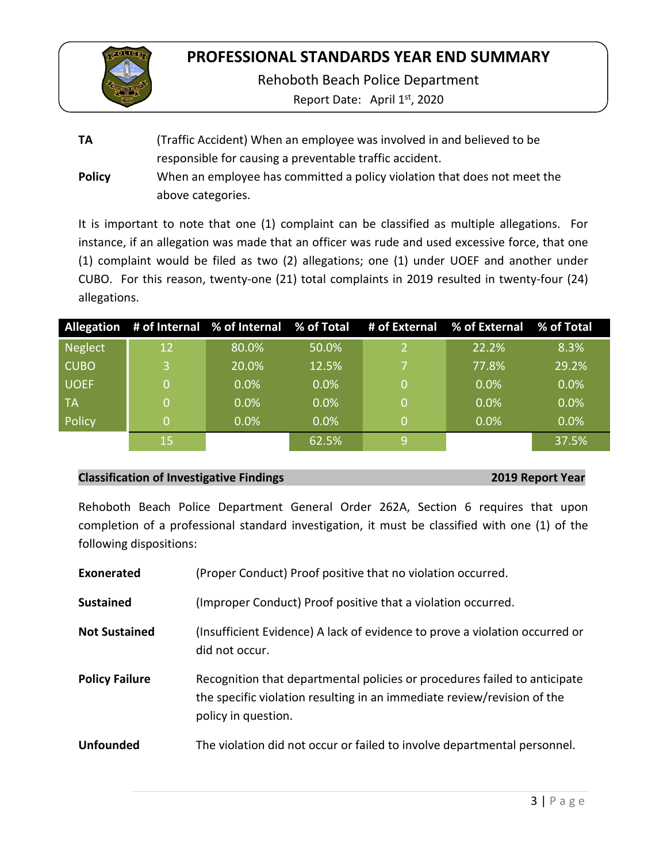

Rehoboth Beach Police Department

Report Date: April 1<sup>st</sup>, 2020

**TA** (Traffic Accident) When an employee was involved in and believed to be responsible for causing a preventable traffic accident. **Policy** When an employee has committed a policy violation that does not meet the above categories.

It is important to note that one (1) complaint can be classified as multiple allegations. For instance, if an allegation was made that an officer was rude and used excessive force, that one (1) complaint would be filed as two (2) allegations; one (1) under UOEF and another under CUBO. For this reason, twenty-one (21) total complaints in 2019 resulted in twenty-four (24) allegations.

|             |    |         |         | Allegation # of Internal % of Internal % of Total # of External % of External % of Total |         |
|-------------|----|---------|---------|------------------------------------------------------------------------------------------|---------|
| Neglect     | 12 | 80.0%   | 50.0%   | 22.2%                                                                                    | 8.3%    |
| <b>CUBO</b> | 3  | 20.0%   | 12.5%   | 77.8%                                                                                    | 29.2%   |
| UOEF        | 0  | 0.0%    | 0.0%    | 0.0%                                                                                     | 0.0%    |
| ∣ TA        | 0  | 0.0%    | $0.0\%$ | 0.0%                                                                                     | $0.0\%$ |
| Policy      | 0  | $0.0\%$ | 0.0%    | 0.0%                                                                                     | $0.0\%$ |
|             | 15 |         | 62.5%   |                                                                                          | 37.5%   |

### **Classification of Investigative Findings 2019 Report Year**

Rehoboth Beach Police Department General Order 262A, Section 6 requires that upon completion of a professional standard investigation, it must be classified with one (1) of the following dispositions:

| Exonerated            | (Proper Conduct) Proof positive that no violation occurred.                                                                                                                 |
|-----------------------|-----------------------------------------------------------------------------------------------------------------------------------------------------------------------------|
| <b>Sustained</b>      | (Improper Conduct) Proof positive that a violation occurred.                                                                                                                |
| <b>Not Sustained</b>  | (Insufficient Evidence) A lack of evidence to prove a violation occurred or<br>did not occur.                                                                               |
| <b>Policy Failure</b> | Recognition that departmental policies or procedures failed to anticipate<br>the specific violation resulting in an immediate review/revision of the<br>policy in question. |
| <b>Unfounded</b>      | The violation did not occur or failed to involve departmental personnel.                                                                                                    |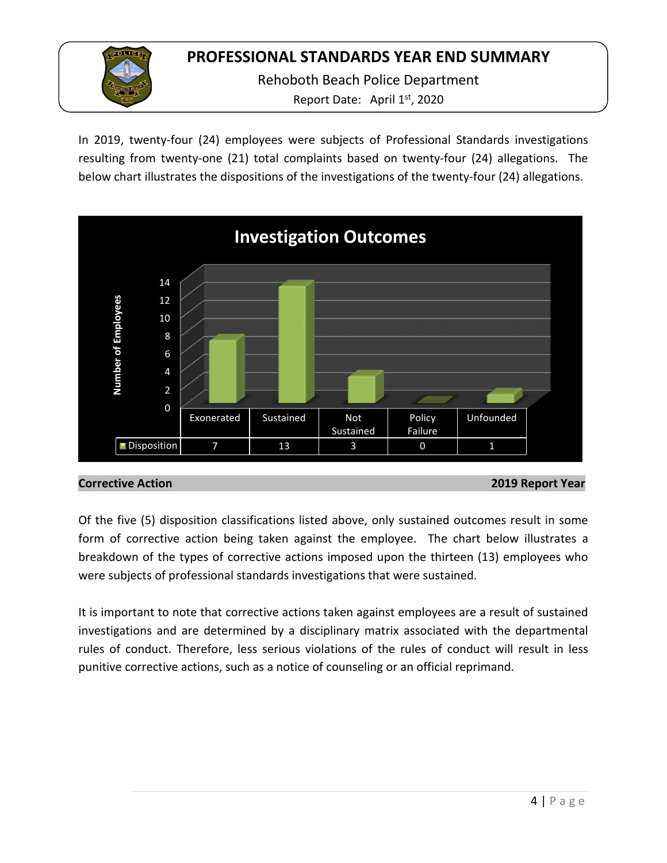

In 2019, twenty-four (24) employees were subjects of Professional Standards investigations resulting from twenty-one (21) total complaints based on twenty-four (24) allegations. The below chart illustrates the dispositions of the investigations of the twenty-four (24) allegations.



**Corrective Action 2019 Report Year**

Of the five (5) disposition classifications listed above, only sustained outcomes result in some form of corrective action being taken against the employee. The chart below illustrates a breakdown of the types of corrective actions imposed upon the thirteen (13) employees who were subjects of professional standards investigations that were sustained.

It is important to note that corrective actions taken against employees are a result of sustained investigations and are determined by a disciplinary matrix associated with the departmental rules of conduct. Therefore, less serious violations of the rules of conduct will result in less punitive corrective actions, such as a notice of counseling or an official reprimand.